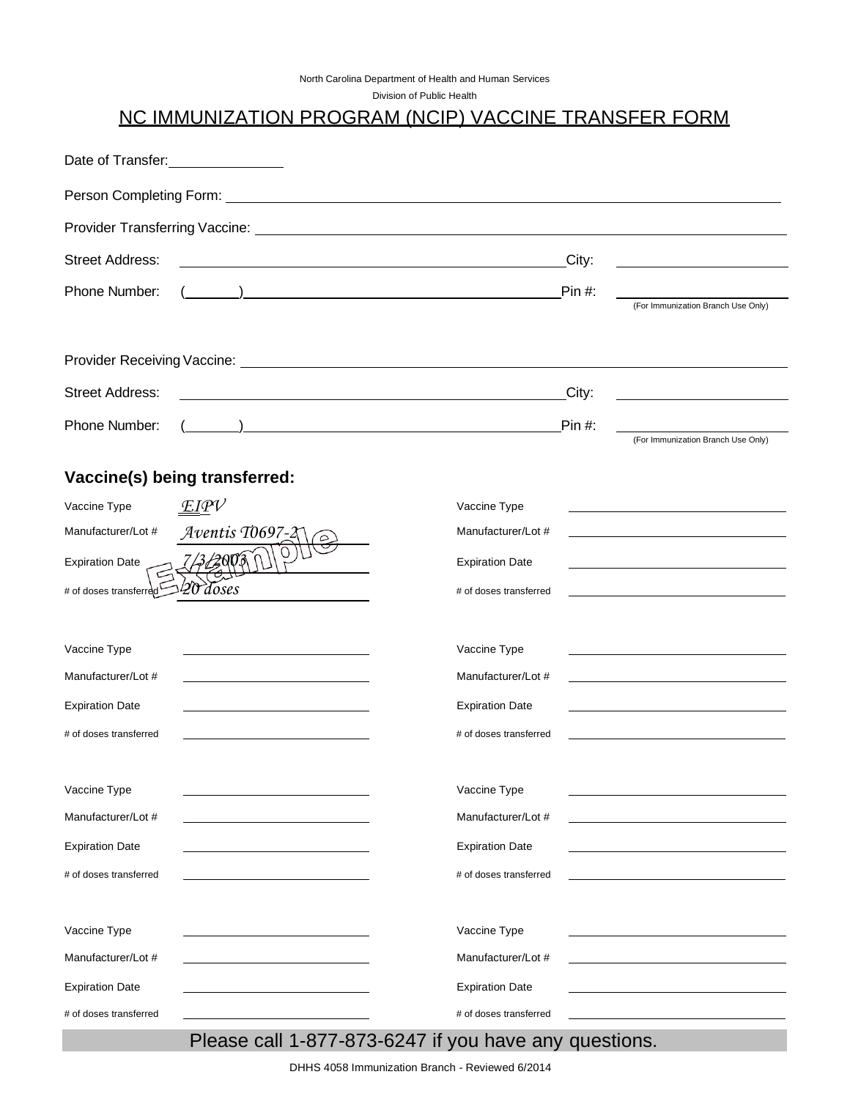| North Carolina Department of Health and Human Services |  |
|--------------------------------------------------------|--|
|--------------------------------------------------------|--|

Division of Public Health

# NC IMMUNIZATION PROGRAM (NCIP) VACCINE TRANSFER FORM

| Date of Transfer: Date of Transfer: |                                                                     |                        |          |                                                                                                                      |  |
|-------------------------------------|---------------------------------------------------------------------|------------------------|----------|----------------------------------------------------------------------------------------------------------------------|--|
|                                     |                                                                     |                        |          |                                                                                                                      |  |
|                                     |                                                                     |                        |          |                                                                                                                      |  |
| <b>Street Address:</b>              | <u> 1989 - Johann Stoff, amerikansk politiker (d. 1989)</u>         |                        | City:    |                                                                                                                      |  |
| Phone Number:                       |                                                                     |                        | $Pin#$ : | (For Immunization Branch Use Only)                                                                                   |  |
|                                     |                                                                     |                        |          |                                                                                                                      |  |
|                                     |                                                                     |                        |          |                                                                                                                      |  |
| <b>Street Address:</b>              | <u> 1989 - Johann Barn, amerikansk politiker (d. 1989)</u>          |                        | City:    |                                                                                                                      |  |
| Phone Number:                       |                                                                     |                        | $Pin#$ : |                                                                                                                      |  |
|                                     |                                                                     |                        |          | (For Immunization Branch Use Only)                                                                                   |  |
|                                     | Vaccine(s) being transferred:                                       |                        |          |                                                                                                                      |  |
| Vaccine Type                        | EIPV                                                                | Vaccine Type           |          |                                                                                                                      |  |
| Manufacturer/Lot #                  | Aventis T0697-2                                                     | Manufacturer/Lot #     |          | <u> 1989 - Johann Stein, marwolaethau a bhann an t-Amhain an t-Amhain an t-Amhain an t-Amhain an t-Amhain an t-A</u> |  |
| <b>Expiration Date</b>              |                                                                     | <b>Expiration Date</b> |          |                                                                                                                      |  |
| # of doses transferred              | doses                                                               | # of doses transferred |          |                                                                                                                      |  |
|                                     |                                                                     |                        |          |                                                                                                                      |  |
| Vaccine Type                        |                                                                     | Vaccine Type           |          |                                                                                                                      |  |
| Manufacturer/Lot #                  | the contract of the contract of the contract of the contract of the | Manufacturer/Lot #     |          |                                                                                                                      |  |
| <b>Expiration Date</b>              |                                                                     | <b>Expiration Date</b> |          |                                                                                                                      |  |
| # of doses transferred              |                                                                     | # of doses transferred |          |                                                                                                                      |  |
|                                     |                                                                     |                        |          |                                                                                                                      |  |
| Vaccine Type                        |                                                                     | Vaccine Type           |          |                                                                                                                      |  |
| Manufacturer/Lot #                  |                                                                     | Manufacturer/Lot #     |          |                                                                                                                      |  |
| <b>Expiration Date</b>              |                                                                     | <b>Expiration Date</b> |          |                                                                                                                      |  |
| # of doses transferred              |                                                                     | # of doses transferred |          |                                                                                                                      |  |
|                                     |                                                                     |                        |          |                                                                                                                      |  |
| Vaccine Type                        |                                                                     | Vaccine Type           |          |                                                                                                                      |  |
| Manufacturer/Lot #                  |                                                                     | Manufacturer/Lot #     |          |                                                                                                                      |  |
| <b>Expiration Date</b>              |                                                                     | <b>Expiration Date</b> |          |                                                                                                                      |  |
| # of doses transferred              |                                                                     | # of doses transferred |          |                                                                                                                      |  |

# Please call 1-877-873-6247 if you have any questions.